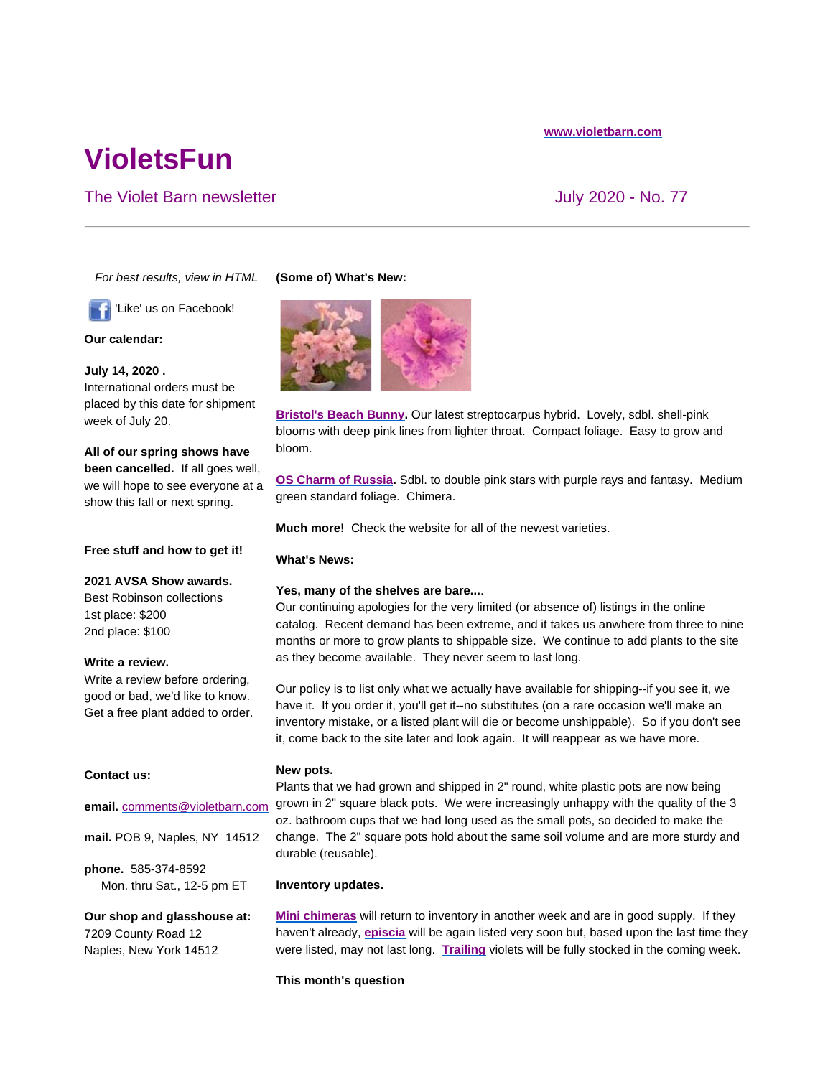#### **www.violetbarn.com**

# **VioletsFun**

# The Violet Barn newsletter **The Violet Barn newsletter** All the Violet Barn newsletter All the Violet All the Violet All the Violet All the Violet All the Violet All the Violet All the Violet All the Violet All the Violet

*For best results, view in HTML*

'Like' us on Facebook!

**Our calendar:**

**July 14, 2020 .**  International orders must be placed by this date for shipment week of July 20.

**All of our spring shows have been cancelled.** If all goes well, we will hope to see everyone at a show this fall or next spring.

## **Free stuff and how to get it!**

#### **2021 AVSA Show awards.**

Best Robinson collections 1st place: \$200 2nd place: \$100

## **Write a review.**

Write a review before ordering, good or bad, we'd like to know. Get a free plant added to order.

## **Contact us:**

#### **email.** comments@violetbarn.com

**mail.** POB 9, Naples, NY 14512

**phone.** 585-374-8592 Mon. thru Sat., 12-5 pm ET

**Our shop and glasshouse at:** 7209 County Road 12 Naples, New York 14512

## **(Some of) What's New:**



**Bristol's Beach Bunny.** Our latest streptocarpus hybrid. Lovely, sdbl. shell-pink blooms with deep pink lines from lighter throat. Compact foliage. Easy to grow and bloom.

**OS Charm of Russia.** Sdbl. to double pink stars with purple rays and fantasy. Medium green standard foliage. Chimera.

**Much more!** Check the website for all of the newest varieties.

# **What's News:**

## **Yes, many of the shelves are bare...**.

Our continuing apologies for the very limited (or absence of) listings in the online catalog. Recent demand has been extreme, and it takes us anwhere from three to nine months or more to grow plants to shippable size. We continue to add plants to the site as they become available. They never seem to last long.

Our policy is to list only what we actually have available for shipping--if you see it, we have it. If you order it, you'll get it--no substitutes (on a rare occasion we'll make an inventory mistake, or a listed plant will die or become unshippable). So if you don't see it, come back to the site later and look again. It will reappear as we have more.

#### **New pots.**

Plants that we had grown and shipped in 2" round, white plastic pots are now being grown in 2" square black pots. We were increasingly unhappy with the quality of the 3 oz. bathroom cups that we had long used as the small pots, so decided to make the change. The 2" square pots hold about the same soil volume and are more sturdy and durable (reusable).

#### **Inventory updates.**

**Mini chimeras** will return to inventory in another week and are in good supply. If they haven't already, **episcia** will be again listed very soon but, based upon the last time they were listed, may not last long. **Trailing** violets will be fully stocked in the coming week.

## **This month's question**